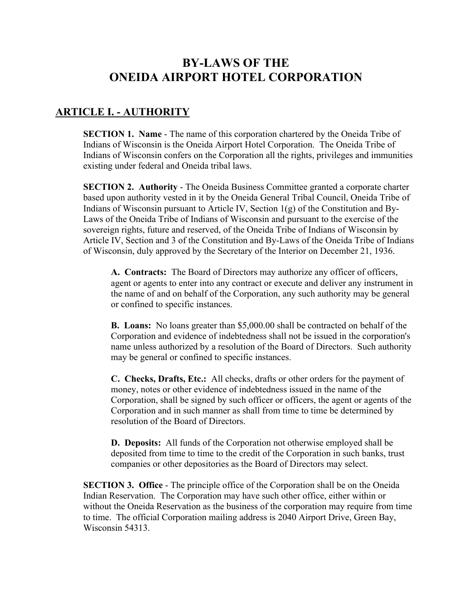# **BY-LAWS OF THE ONEIDA AIRPORT HOTEL CORPORATION**

## **ARTICLE I. - AUTHORITY**

**SECTION 1. Name** - The name of this corporation chartered by the Oneida Tribe of Indians of Wisconsin is the Oneida Airport Hotel Corporation. The Oneida Tribe of Indians of Wisconsin confers on the Corporation all the rights, privileges and immunities existing under federal and Oneida tribal laws.

**SECTION 2. Authority** - The Oneida Business Committee granted a corporate charter based upon authority vested in it by the Oneida General Tribal Council, Oneida Tribe of Indians of Wisconsin pursuant to Article IV, Section  $1(g)$  of the Constitution and By-Laws of the Oneida Tribe of Indians of Wisconsin and pursuant to the exercise of the sovereign rights, future and reserved, of the Oneida Tribe of Indians of Wisconsin by Article IV, Section and 3 of the Constitution and By-Laws of the Oneida Tribe of Indians of Wisconsin, duly approved by the Secretary of the Interior on December 21, 1936.

**A. Contracts:** The Board of Directors may authorize any officer of officers, agent or agents to enter into any contract or execute and deliver any instrument in the name of and on behalf of the Corporation, any such authority may be general or confined to specific instances.

**B. Loans:** No loans greater than \$5,000.00 shall be contracted on behalf of the Corporation and evidence of indebtedness shall not be issued in the corporation's name unless authorized by a resolution of the Board of Directors. Such authority may be general or confined to specific instances.

**C. Checks, Drafts, Etc.:** All checks, drafts or other orders for the payment of money, notes or other evidence of indebtedness issued in the name of the Corporation, shall be signed by such officer or officers, the agent or agents of the Corporation and in such manner as shall from time to time be determined by resolution of the Board of Directors.

**D. Deposits:** All funds of the Corporation not otherwise employed shall be deposited from time to time to the credit of the Corporation in such banks, trust companies or other depositories as the Board of Directors may select.

**SECTION 3. Office** - The principle office of the Corporation shall be on the Oneida Indian Reservation. The Corporation may have such other office, either within or without the Oneida Reservation as the business of the corporation may require from time to time. The official Corporation mailing address is 2040 Airport Drive, Green Bay, Wisconsin 54313.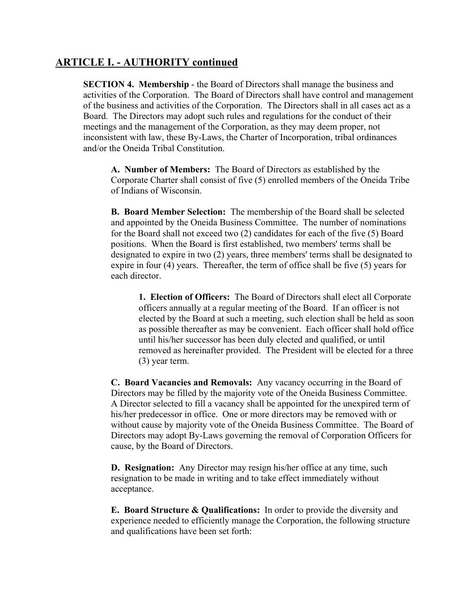### **ARTICLE I. - AUTHORITY continued**

**SECTION 4. Membership** - the Board of Directors shall manage the business and activities of the Corporation. The Board of Directors shall have control and management of the business and activities of the Corporation. The Directors shall in all cases act as a Board. The Directors may adopt such rules and regulations for the conduct of their meetings and the management of the Corporation, as they may deem proper, not inconsistent with law, these By-Laws, the Charter of Incorporation, tribal ordinances and/or the Oneida Tribal Constitution.

**A. Number of Members:** The Board of Directors as established by the Corporate Charter shall consist of five (5) enrolled members of the Oneida Tribe of Indians of Wisconsin.

**B. Board Member Selection:** The membership of the Board shall be selected and appointed by the Oneida Business Committee. The number of nominations for the Board shall not exceed two (2) candidates for each of the five (5) Board positions. When the Board is first established, two members' terms shall be designated to expire in two (2) years, three members' terms shall be designated to expire in four (4) years. Thereafter, the term of office shall be five (5) years for each director.

**1. Election of Officers:** The Board of Directors shall elect all Corporate officers annually at a regular meeting of the Board. If an officer is not elected by the Board at such a meeting, such election shall be held as soon as possible thereafter as may be convenient. Each officer shall hold office until his/her successor has been duly elected and qualified, or until removed as hereinafter provided. The President will be elected for a three (3) year term.

**C. Board Vacancies and Removals:** Any vacancy occurring in the Board of Directors may be filled by the majority vote of the Oneida Business Committee. A Director selected to fill a vacancy shall be appointed for the unexpired term of his/her predecessor in office. One or more directors may be removed with or without cause by majority vote of the Oneida Business Committee. The Board of Directors may adopt By-Laws governing the removal of Corporation Officers for cause, by the Board of Directors.

**D. Resignation:** Any Director may resign his/her office at any time, such resignation to be made in writing and to take effect immediately without acceptance.

**E. Board Structure & Qualifications:** In order to provide the diversity and experience needed to efficiently manage the Corporation, the following structure and qualifications have been set forth: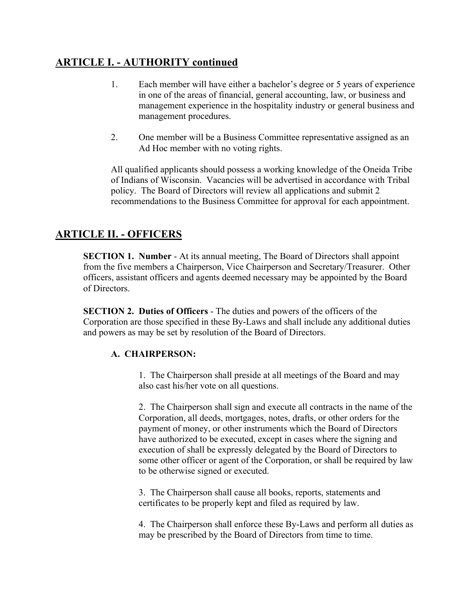## **ARTICLE I. - AUTHORITY continued**

- 1. Each member will have either a bachelor's degree or 5 years of experience in one of the areas of financial, general accounting, law, or business and management experience in the hospitality industry or general business and management procedures.
- 2. One member will be a Business Committee representative assigned as an Ad Hoc member with no voting rights.

All qualified applicants should possess a working knowledge of the Oneida Tribe of Indians of Wisconsin. Vacancies will be advertised in accordance with Tribal policy. The Board of Directors will review all applications and submit 2 recommendations to the Business Committee for approval for each appointment.

## **ARTICLE II. - OFFICERS**

**SECTION 1. Number** - At its annual meeting, The Board of Directors shall appoint from the five members a Chairperson, Vice Chairperson and Secretary/Treasurer. Other officers, assistant officers and agents deemed necessary may be appointed by the Board of Directors.

**SECTION 2. Duties of Officers** - The duties and powers of the officers of the Corporation are those specified in these By-Laws and shall include any additional duties and powers as may be set by resolution of the Board of Directors.

### **A. CHAIRPERSON:**

1. The Chairperson shall preside at all meetings of the Board and may also cast his/her vote on all questions.

2. The Chairperson shall sign and execute all contracts in the name of the Corporation, all deeds, mortgages, notes, drafts, or other orders for the payment of money, or other instruments which the Board of Directors have authorized to be executed, except in cases where the signing and execution of shall be expressly delegated by the Board of Directors to some other officer or agent of the Corporation, or shall be required by law to be otherwise signed or executed.

3. The Chairperson shall cause all books, reports, statements and certificates to be properly kept and filed as required by law.

4. The Chairperson shall enforce these By-Laws and perform all duties as may be prescribed by the Board of Directors from time to time.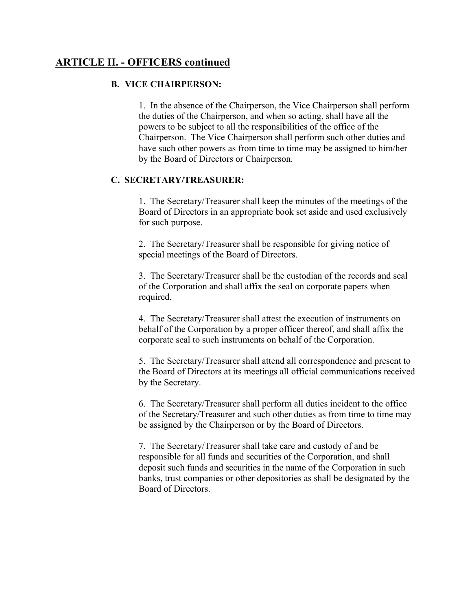### **ARTICLE II. - OFFICERS continued**

#### **B. VICE CHAIRPERSON:**

1. In the absence of the Chairperson, the Vice Chairperson shall perform the duties of the Chairperson, and when so acting, shall have all the powers to be subject to all the responsibilities of the office of the Chairperson. The Vice Chairperson shall perform such other duties and have such other powers as from time to time may be assigned to him/her by the Board of Directors or Chairperson.

#### **C. SECRETARY/TREASURER:**

1. The Secretary/Treasurer shall keep the minutes of the meetings of the Board of Directors in an appropriate book set aside and used exclusively for such purpose.

2. The Secretary/Treasurer shall be responsible for giving notice of special meetings of the Board of Directors.

3. The Secretary/Treasurer shall be the custodian of the records and seal of the Corporation and shall affix the seal on corporate papers when required.

4. The Secretary/Treasurer shall attest the execution of instruments on behalf of the Corporation by a proper officer thereof, and shall affix the corporate seal to such instruments on behalf of the Corporation.

5. The Secretary/Treasurer shall attend all correspondence and present to the Board of Directors at its meetings all official communications received by the Secretary.

6. The Secretary/Treasurer shall perform all duties incident to the office of the Secretary/Treasurer and such other duties as from time to time may be assigned by the Chairperson or by the Board of Directors.

7. The Secretary/Treasurer shall take care and custody of and be responsible for all funds and securities of the Corporation, and shall deposit such funds and securities in the name of the Corporation in such banks, trust companies or other depositories as shall be designated by the Board of Directors.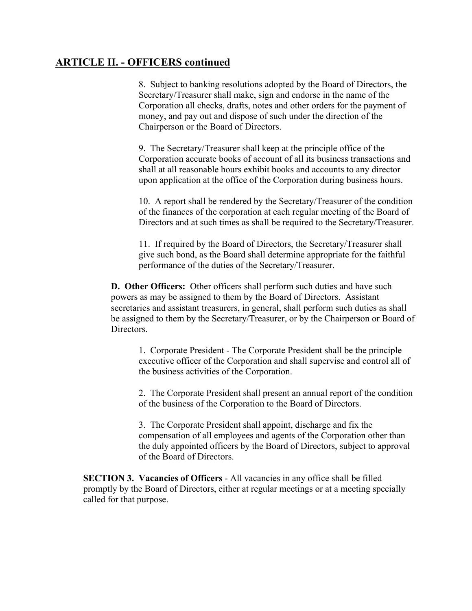### **ARTICLE II. - OFFICERS continued**

8. Subject to banking resolutions adopted by the Board of Directors, the Secretary/Treasurer shall make, sign and endorse in the name of the Corporation all checks, drafts, notes and other orders for the payment of money, and pay out and dispose of such under the direction of the Chairperson or the Board of Directors.

9. The Secretary/Treasurer shall keep at the principle office of the Corporation accurate books of account of all its business transactions and shall at all reasonable hours exhibit books and accounts to any director upon application at the office of the Corporation during business hours.

10. A report shall be rendered by the Secretary/Treasurer of the condition of the finances of the corporation at each regular meeting of the Board of Directors and at such times as shall be required to the Secretary/Treasurer.

11. If required by the Board of Directors, the Secretary/Treasurer shall give such bond, as the Board shall determine appropriate for the faithful performance of the duties of the Secretary/Treasurer.

**D. Other Officers:** Other officers shall perform such duties and have such powers as may be assigned to them by the Board of Directors. Assistant secretaries and assistant treasurers, in general, shall perform such duties as shall be assigned to them by the Secretary/Treasurer, or by the Chairperson or Board of Directors.

1. Corporate President - The Corporate President shall be the principle executive officer of the Corporation and shall supervise and control all of the business activities of the Corporation.

2. The Corporate President shall present an annual report of the condition of the business of the Corporation to the Board of Directors.

3. The Corporate President shall appoint, discharge and fix the compensation of all employees and agents of the Corporation other than the duly appointed officers by the Board of Directors, subject to approval of the Board of Directors.

**SECTION 3. Vacancies of Officers** - All vacancies in any office shall be filled promptly by the Board of Directors, either at regular meetings or at a meeting specially called for that purpose.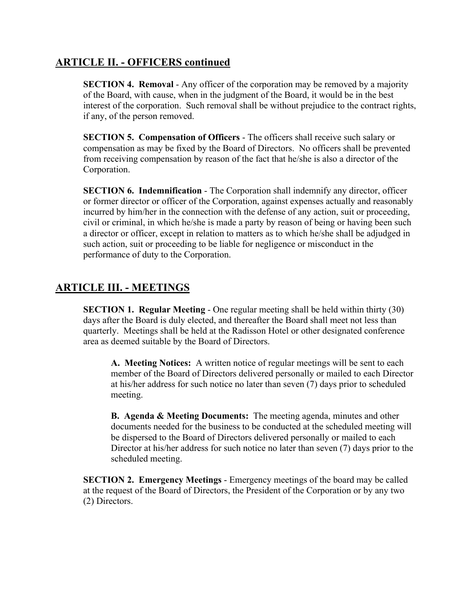### **ARTICLE II. - OFFICERS continued**

**SECTION 4. Removal** - Any officer of the corporation may be removed by a majority of the Board, with cause, when in the judgment of the Board, it would be in the best interest of the corporation. Such removal shall be without prejudice to the contract rights, if any, of the person removed.

**SECTION 5. Compensation of Officers** - The officers shall receive such salary or compensation as may be fixed by the Board of Directors. No officers shall be prevented from receiving compensation by reason of the fact that he/she is also a director of the Corporation.

**SECTION 6. Indemnification** - The Corporation shall indemnify any director, officer or former director or officer of the Corporation, against expenses actually and reasonably incurred by him/her in the connection with the defense of any action, suit or proceeding, civil or criminal, in which he/she is made a party by reason of being or having been such a director or officer, except in relation to matters as to which he/she shall be adjudged in such action, suit or proceeding to be liable for negligence or misconduct in the performance of duty to the Corporation.

## **ARTICLE III. - MEETINGS**

**SECTION 1. Regular Meeting** - One regular meeting shall be held within thirty (30) days after the Board is duly elected, and thereafter the Board shall meet not less than quarterly. Meetings shall be held at the Radisson Hotel or other designated conference area as deemed suitable by the Board of Directors.

**A. Meeting Notices:** A written notice of regular meetings will be sent to each member of the Board of Directors delivered personally or mailed to each Director at his/her address for such notice no later than seven (7) days prior to scheduled meeting.

**B. Agenda & Meeting Documents:** The meeting agenda, minutes and other documents needed for the business to be conducted at the scheduled meeting will be dispersed to the Board of Directors delivered personally or mailed to each Director at his/her address for such notice no later than seven (7) days prior to the scheduled meeting.

**SECTION 2. Emergency Meetings** - Emergency meetings of the board may be called at the request of the Board of Directors, the President of the Corporation or by any two (2) Directors.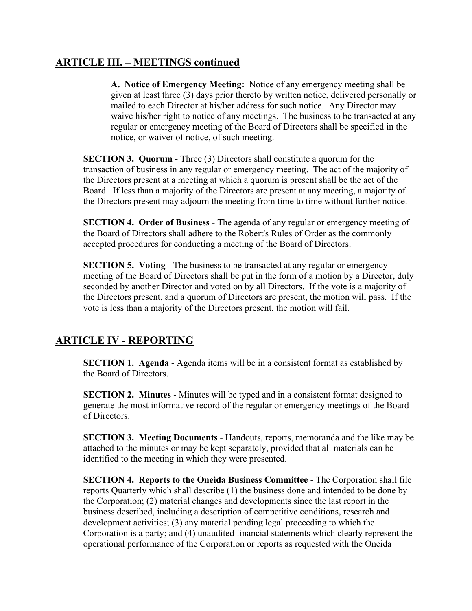## **ARTICLE III. – MEETINGS continued**

**A. Notice of Emergency Meeting:** Notice of any emergency meeting shall be given at least three (3) days prior thereto by written notice, delivered personally or mailed to each Director at his/her address for such notice. Any Director may waive his/her right to notice of any meetings. The business to be transacted at any regular or emergency meeting of the Board of Directors shall be specified in the notice, or waiver of notice, of such meeting.

**SECTION 3. Quorum** - Three (3) Directors shall constitute a quorum for the transaction of business in any regular or emergency meeting. The act of the majority of the Directors present at a meeting at which a quorum is present shall be the act of the Board. If less than a majority of the Directors are present at any meeting, a majority of the Directors present may adjourn the meeting from time to time without further notice.

**SECTION 4. Order of Business** - The agenda of any regular or emergency meeting of the Board of Directors shall adhere to the Robert's Rules of Order as the commonly accepted procedures for conducting a meeting of the Board of Directors.

**SECTION 5. Voting** - The business to be transacted at any regular or emergency meeting of the Board of Directors shall be put in the form of a motion by a Director, duly seconded by another Director and voted on by all Directors. If the vote is a majority of the Directors present, and a quorum of Directors are present, the motion will pass. If the vote is less than a majority of the Directors present, the motion will fail.

## **ARTICLE IV - REPORTING**

**SECTION 1. Agenda** - Agenda items will be in a consistent format as established by the Board of Directors.

**SECTION 2. Minutes** - Minutes will be typed and in a consistent format designed to generate the most informative record of the regular or emergency meetings of the Board of Directors.

**SECTION 3. Meeting Documents** - Handouts, reports, memoranda and the like may be attached to the minutes or may be kept separately, provided that all materials can be identified to the meeting in which they were presented.

**SECTION 4. Reports to the Oneida Business Committee** - The Corporation shall file reports Quarterly which shall describe (1) the business done and intended to be done by the Corporation; (2) material changes and developments since the last report in the business described, including a description of competitive conditions, research and development activities; (3) any material pending legal proceeding to which the Corporation is a party; and (4) unaudited financial statements which clearly represent the operational performance of the Corporation or reports as requested with the Oneida